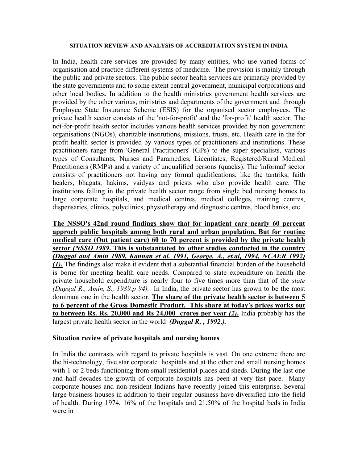### **SITUATION REVIEW AND ANALYSIS OF ACCREDITATION SYSTEM IN INDIA**

In India, health care services are provided by many entities, who use varied forms of organisation and practice different systems of medicine. The provision is mainly through the public and private sectors. The public sector health services are primarily provided by the state governments and to some extent central government, municipal corporations and other local bodies. In addition to the health ministries government health services are provided by the other various, ministries and departments of the government and through Employee State Insurance Scheme (ESIS) for the organised sector employees. The private health sector consists of the 'not-for-profit' and the 'for-profit' health sector. The not-for-profit health sector includes various health services provided by non government organisations (NGOs), charitable institutions, missions, trusts, etc. Health care in the for profit health sector is provided by various types of practitioners and institutions. These practitioners range from 'General Practitioners' (GPs) to the super specialists, various types of Consultants, Nurses and Paramedics, Licentiates, Registered/Rural Medical Practitioners (RMPs) and a variety of unqualified persons (quacks). The 'informal' sector consists of practitioners not having any formal qualifications, like the tantriks, faith healers, bhagats, hakims, vaidyas and priests who also provide health care. The institutions falling in the private health sector range from single bed nursing homes to large corporate hospitals, and medical centres, medical colleges, training centres, dispensaries, clinics, polyclinics, physiotherapy and diagnostic centres, blood banks, etc.

**The NSSO's 42nd round findings show that for inpatient care nearly 60 percent approch public hospitals among both rural and urban population. But for routine medical care (Out patient care) 60 to 70 percent is provided by the private health sector** *(NSSO 1989***. This is substantiated by other studies conducted in the country** *(Duggal and Amin 1989, Kannan et al. 1991, George. A., et.al, 1994, NCAER 1992) (1).* The findings also make it evident that a substantial financial burden of the household is borne for meeting health care needs. Compared to state expenditure on health the private household expenditure is nearly four to five times more than that of the *state (Duggal R., Amin, S., 1989.p 94).* In India, the private sector has grown to be the most dominant one in the health sector. **The share of the private health sector is between 5 to 6 percent of the Gross Domestic Product. This share at today's prices works out to between Rs. Rs. 20,000 and Rs 24,000 crores per year** *(2)***.** India probably has the largest private health sector in the world *(Duggal R, , 1992,).*

## **Situation review of private hospitals and nursing homes**

In India the contrasts with regard to private hospitals is vast. On one extreme there are the hi-technology, five star corporate hospitals and at the other end small nursing homes with 1 or 2 beds functioning from small residential places and sheds. During the last one and half decades the growth of corporate hospitals has been at very fast pace. Many corporate houses and non-resident Indians have recently joined this enterprise. Several large business houses in addition to their regular business have diversified into the field of health. During 1974, 16% of the hospitals and 21.50% of the hospital beds in India were in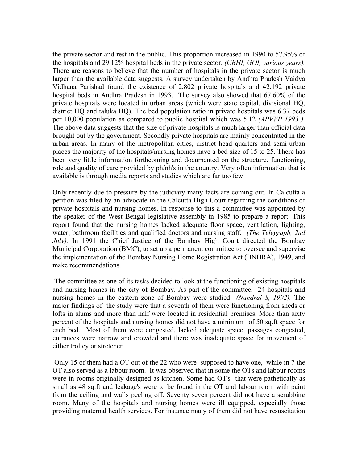the private sector and rest in the public. This proportion increased in 1990 to 57.95% of the hospitals and 29.12% hospital beds in the private sector. *(CBHI, GOI, various years).* There are reasons to believe that the number of hospitals in the private sector is much larger than the available data suggests. A survey undertaken by Andhra Pradesh Vaidya Vidhana Parishad found the existence of 2,802 private hospitals and 42,192 private hospital beds in Andhra Pradesh in 1993. The survey also showed that 67.60% of the private hospitals were located in urban areas (which were state capital, divisional HQ, district HQ and taluka HQ). The bed population ratio in private hospitals was 6.37 beds per 10,000 population as compared to public hospital which was 5.12 *(APVVP 1993 ).* The above data suggests that the size of private hospitals is much larger than official data brought out by the government. Secondly private hospitals are mainly concentrated in the urban areas. In many of the metropolitan cities, district head quarters and semi-urban places the majority of the hospitals/nursing homes have a bed size of 15 to 25. There has been very little information forthcoming and documented on the structure, functioning, role and quality of care provided by ph/nh's in the country. Very often information that is available is through media reports and studies which are far too few.

Only recently due to pressure by the judiciary many facts are coming out. In Calcutta a petition was filed by an advocate in the Calcutta High Court regarding the conditions of private hospitals and nursing homes. In response to this a committee was appointed by the speaker of the West Bengal legislative assembly in 1985 to prepare a report. This report found that the nursing homes lacked adequate floor space, ventilation, lighting, water, bathroom facilities and qualified doctors and nursing staff. *(The Telegraph, 2nd July).* In 1991 the Chief Justice of the Bombay High Court directed the Bombay Municipal Corporation (BMC), to set up a permanent committee to oversee and supervise the implementation of the Bombay Nursing Home Registration Act (BNHRA), 1949, and make recommendations.

 The committee as one of its tasks decided to look at the functioning of existing hospitals and nursing homes in the city of Bombay. As part of the committee, 24 hospitals and nursing homes in the eastern zone of Bombay were studied *(Nandraj S, 1992).* The major findings of the study were that a seventh of them were functioning from sheds or lofts in slums and more than half were located in residential premises. More than sixty percent of the hospitals and nursing homes did not have a minimum of 50 sq.ft space for each bed. Most of them were congested, lacked adequate space, passages congested, entrances were narrow and crowded and there was inadequate space for movement of either trolley or stretcher.

 Only 15 of them had a OT out of the 22 who were supposed to have one, while in 7 the OT also served as a labour room. It was observed that in some the OTs and labour rooms were in rooms originally designed as kitchen. Some had OT's that were pathetically as small as 48 sq.ft and leakage's were to be found in the OT and labour room with paint from the ceiling and walls peeling off. Seventy seven percent did not have a scrubbing room. Many of the hospitals and nursing homes were ill equipped, especially those providing maternal health services. For instance many of them did not have resuscitation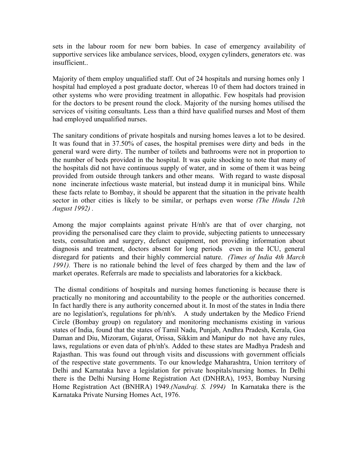sets in the labour room for new born babies. In case of emergency availability of supportive services like ambulance services, blood, oxygen cylinders, generators etc. was insufficient..

Majority of them employ unqualified staff. Out of 24 hospitals and nursing homes only 1 hospital had employed a post graduate doctor, whereas 10 of them had doctors trained in other systems who were providing treatment in allopathic. Few hospitals had provision for the doctors to be present round the clock. Majority of the nursing homes utilised the services of visiting consultants. Less than a third have qualified nurses and Most of them had employed unqualified nurses.

The sanitary conditions of private hospitals and nursing homes leaves a lot to be desired. It was found that in 37.50% of cases, the hospital premises were dirty and beds in the general ward were dirty. The number of toilets and bathrooms were not in proportion to the number of beds provided in the hospital. It was quite shocking to note that many of the hospitals did not have continuous supply of water, and in some of them it was being provided from outside through tankers and other means. With regard to waste disposal none incinerate infectious waste material, but instead dump it in municipal bins. While these facts relate to Bombay, it should be apparent that the situation in the private health sector in other cities is likely to be similar, or perhaps even worse *(The Hindu 12th August 1992) .* 

Among the major complaints against private H/nh's are that of over charging, not providing the personalised care they claim to provide, subjecting patients to unnecessary tests, consultation and surgery, defunct equipment, not providing information about diagnosis and treatment, doctors absent for long periods even in the ICU, general disregard for patients and their highly commercial nature. *(Times of India 4th March 1991).* There is no rationale behind the level of fees charged by them and the law of market operates. Referrals are made to specialists and laboratories for a kickback.

 The dismal conditions of hospitals and nursing homes functioning is because there is practically no monitoring and accountability to the people or the authorities concerned. In fact hardly there is any authority concerned about it. In most of the states in India there are no legislation's, regulations for ph/nh's. A study undertaken by the Medico Friend Circle (Bombay group) on regulatory and monitoring mechanisms existing in various states of India, found that the states of Tamil Nadu, Punjab, Andhra Pradesh, Kerala, Goa Daman and Diu, Mizoram, Gujarat, Orissa, Sikkim and Manipur do not have any rules, laws, regulations or even data of ph/nh's. Added to these states are Madhya Pradesh and Rajasthan. This was found out through visits and discussions with government officials of the respective state governments. To our knowledge Maharashtra, Union territory of Delhi and Karnataka have a legislation for private hospitals/nursing homes. In Delhi there is the Delhi Nursing Home Registration Act (DNHRA), 1953, Bombay Nursing Home Registration Act (BNHRA) 1949.*(Nandraj. S. 1994)* In Karnataka there is the Karnataka Private Nursing Homes Act, 1976.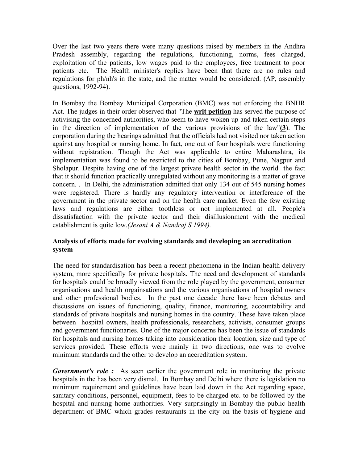Over the last two years there were many questions raised by members in the Andhra Pradesh assembly, regarding the regulations, functioning, norms, fees charged, exploitation of the patients, low wages paid to the employees, free treatment to poor patients etc. The Health minister's replies have been that there are no rules and regulations for ph/nh's in the state, and the matter would be considered. (AP, assembly questions, 1992-94).

In Bombay the Bombay Municipal Corporation (BMC) was not enforcing the BNHR Act. The judges in their order observed that "The **writ petition** has served the purpose of activising the concerned authorities, who seem to have woken up and taken certain steps in the direction of implementation of the various provisions of the law"**(3**). The corporation during the hearings admitted that the officials had not visited nor taken action against any hospital or nursing home. In fact, one out of four hospitals were functioning without registration. Though the Act was applicable to entire Maharashtra, its implementation was found to be restricted to the cities of Bombay, Pune, Nagpur and Sholapur. Despite having one of the largest private health sector in the world the fact that it should function practically unregulated without any monitoring is a matter of grave concern. . In Delhi, the administration admitted that only 134 out of 545 nursing homes were registered. There is hardly any regulatory intervention or interference of the government in the private sector and on the health care market. Even the few existing laws and regulations are either toothless or not implemented at all. People's dissatisfaction with the private sector and their disillusionment with the medical establishment is quite low.*(Jesani A & Nandraj S 1994).*

# **Analysis of efforts made for evolving standards and developing an accreditation system**

The need for standardisation has been a recent phenomena in the Indian health delivery system, more specifically for private hospitals. The need and development of standards for hospitals could be broadly viewed from the role played by the government, consumer organisations and health orgainsations and the various organisations of hospital owners and other professional bodies. In the past one decade there have been debates and discussions on issues of functioning, quality, finance, monitoring, accountability and standards of private hospitals and nursing homes in the country. These have taken place between hospital owners, health professionals, researchers, activists, consumer groups and government functionaries. One of the major concerns has been the issue of standards for hospitals and nursing homes taking into consideration their location, size and type of services provided. These efforts were mainly in two directions, one was to evolve minimum standards and the other to develop an accreditation system.

*Government's role*: As seen earlier the government role in monitoring the private hospitals in the has been very dismal. In Bombay and Delhi where there is legislation no minimum requirement and guidelines have been laid down in the Act regarding space, sanitary conditions, personnel, equipment, fees to be charged etc. to be followed by the hospital and nursing home authorities. Very surprisingly in Bombay the public health department of BMC which grades restaurants in the city on the basis of hygiene and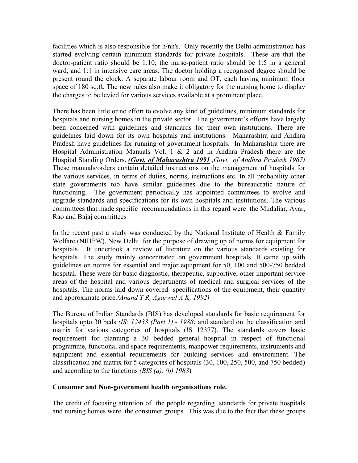facilities which is also responsible for h/nh's. Only recently the Delhi administration has started evolving certain minimum standards for private hospitals. These are that the doctor-patient ratio should be 1:10, the nurse-patient ratio should be 1:5 in a general ward, and 1:1 in intensive care areas. The doctor holding a recognised degree should be present round the clock. A separate labour room and OT, each having minimum floor space of 180 sq.ft. The new rules also make it obligatory for the nursing home to display the charges to be levied for various services available at a prominent place.

There has been little or no effort to evolve any kind of guidelines, minimum standards for hospitals and nursing homes in the private sector. The government's efforts have largely been concerned with guidelines and standards for their own institutions. There are guidelines laid down for its own hospitals and institutions. Maharashtra and Andhra Pradesh have guidelines for running of government hospitals. In Maharashtra there are Hospital Administration Manuals Vol. 1 & 2 and in Andhra Pradesh there are the Hospital Standing Orders**.** *(Govt. of Maharashtra 1991 ,Govt. of Andhra Pradesh 1967)* These manuals/orders contain detailed instructions on the management of hospitals for the various services, in terms of duties, norms, instructions etc. In all probability other state governments too have similar guidelines due to the bureaucratic nature of functioning. The government periodically has appointed committees to evolve and upgrade standards and specifications for its own hospitals and institutions. The various committees that made specific recommendations in this regard were the Mudaliar, Ayar, Rao and Bajaj committees

In the recent past a study was conducted by the National Institute of Health  $\&$  Family Welfare (NIHFW), New Delhi for the purpose of drawing up of norms for equipment for hospitals. It undertook a review of literature on the various standards existing for hospitals. The study mainly concentrated on government hospitals. It came up with guidelines on norms for essential and major equipment for 50, 100 and 500-750 bedded hospital. These were for basic diagnostic, therapeutic, supportive, other important service areas of the hospital and various departments of medical and surgical services of the hospitals. The norms laid down covered specifications of the equipment, their quantity and approximate price.*(Anand T R, Agarwal A K, 1992)*

The Bureau of Indian Standards (BIS) has developed standards for basic requirement for hospitals upto 30 beds *(IS: 12433 (Part 1) - 1988)* and standard on the classification and matrix for various categories of hospitals (!S 12377). The standards covers basic requirement for planning a 30 bedded general hospital in respect of functional programme, functional and space requirements, manpower requirements, instruments and equipment and essential requirements for building services and environment. The classification and matrix for 5 categories of hospitals (30, 100, 250, 500, and 750 bedded) and according to the functions *(BIS (a), (b) 1988*)

## **Consumer and Non-government health organisations role.**

The credit of focusing attention of the people regarding standards for private hospitals and nursing homes were the consumer groups. This was due to the fact that these groups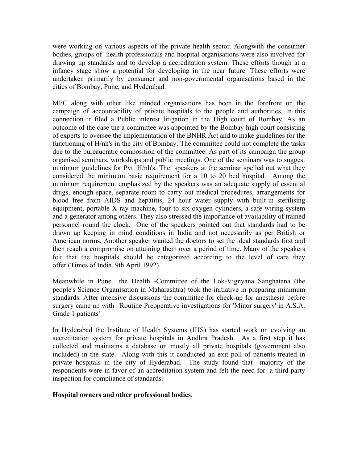were working on various aspects of the private health sector. Alongwith the consumer bodies, groups of health professionals and hospital organisations were also involved for drawing up standards and to develop a accreditation system. These efforts though at a infancy stage show a potential for developing in the near future. These efforts were undertaken primarily by consumer and non-governmental organisations based in the cities of Bombay, Pune, and Hyderabad.

MFC along with other like minded organisations has been in the forefront on the campaign of accountability of private hospitals to the people and authorities. In this connection it filed a Public interest litigation in the High court of Bombay. As an outcome of the case the a committee was appointed by the Bombay high court consisting of experts to oversee the implementation of the BNHR Act and to make guidelines for the functioning of H/nh's in the city of Bombay. The committee could not complete the tasks due to the bureaucratic composition of the committee. As part of its campaign the group organised seminars, workshops and public meetings. One of the seminars was to suggest minimum guidelines for Pvt. H/nh's. The speakers at the seminar spelled out what they considered the minimum basic requirement for a 10 to 20 bed hospital. Among the minimum requirement emphasized by the speakers was an adequate supply of essential drugs, enough space, separate room to carry out medical procedures, arrangements for blood free from AIDS and hepatitis, 24 hour water supply with built-in sterilising equipment, portable X-ray machine, four to six oxygen cylinders, a safe wiring system and a generator among others. They also stressed the importance of availability of trained personnel round the clock. One of the speakers pointed out that standards had to be drawn up keeping in mind conditions in India and not necessarily as per British or American norms. Another speaker wanted the doctors to set the ideal standards first and then reach a compromise on attaining them over a period of time. Many of the speakers felt that the hospitals should be categorized according to the level of care they offer.(Times of India, 9th April 1992)

Meanwhile in Pune the Health -Committee of the Lok-Vignyana Sanghatana (the people's Science Organisation in Maharashtra) took the initiative in preparing minimum standards. After intensive discussions the committee for check-up for anesthesia before surgery came up with 'Routine Preoperative investigations for 'Minor surgery' in A.S.A. Grade 1 patients'

In Hyderabad the Institute of Health Systems (IHS) has started work on evolving an accreditation system for private hospitals in Andhra Pradesh. As a first step it has collected and maintains a database on mostly all private hospitals (government also included) in the state. Along with this it conducted an exit poll of patients treated in private hospitals in the city of Hyderabad. The study found that majority of the respondents were in favor of an accreditation system and felt the need for a third party inspection for compliance of standards.

## **Hospital owners and other professional bodies**.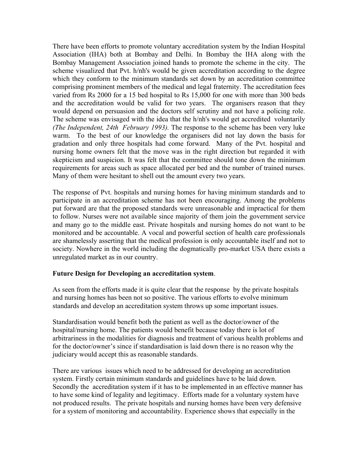There have been efforts to promote voluntary accreditation system by the Indian Hospital Association (IHA) both at Bombay and Delhi. In Bombay the IHA along with the Bombay Management Association joined hands to promote the scheme in the city. The scheme visualized that Pvt. h/nh's would be given accreditation according to the degree which they conform to the minimum standards set down by an accreditation committee comprising prominent members of the medical and legal fraternity. The accreditation fees varied from Rs 2000 for a 15 bed hospital to Rs 15,000 for one with more than 300 beds and the accreditation would be valid for two years. The organisers reason that they would depend on persuasion and the doctors self scrutiny and not have a policing role. The scheme was envisaged with the idea that the h/nh's would get accredited voluntarily *(The Independent, 24th February 1993).* The response to the scheme has been very luke warm. To the best of our knowledge the organisers did not lay down the basis for gradation and only three hospitals had come forward. Many of the Pvt. hospital and nursing home owners felt that the move was in the right direction but regarded it with skepticism and suspicion. It was felt that the committee should tone down the minimum requirements for areas such as space allocated per bed and the number of trained nurses. Many of them were hesitant to shell out the amount every two years.

The response of Pvt. hospitals and nursing homes for having minimum standards and to participate in an accreditation scheme has not been encouraging. Among the problems put forward are that the proposed standards were unreasonable and impractical for them to follow. Nurses were not available since majority of them join the government service and many go to the middle east. Private hospitals and nursing homes do not want to be monitored and be accountable. A vocal and powerful section of health care professionals are shamelessly asserting that the medical profession is only accountable itself and not to society. Nowhere in the world including the dogmatically pro-market USA there exists a unregulated market as in our country.

## **Future Design for Developing an accreditation system**.

As seen from the efforts made it is quite clear that the response by the private hospitals and nursing homes has been not so positive. The various efforts to evolve minimum standards and develop an accreditation system throws up some important issues.

Standardisation would benefit both the patient as well as the doctor/owner of the hospital/nursing home. The patients would benefit because today there is lot of arbitrariness in the modalities for diagnosis and treatment of various health problems and for the doctor/owner's since if standardisation is laid down there is no reason why the judiciary would accept this as reasonable standards.

There are various issues which need to be addressed for developing an accreditation system. Firstly certain minimum standards and guidelines have to be laid down. Secondly the accreditation system if it has to be implemented in an effective manner has to have some kind of legality and legitimacy. Efforts made for a voluntary system have not produced results. The private hospitals and nursing homes have been very defensive for a system of monitoring and accountability. Experience shows that especially in the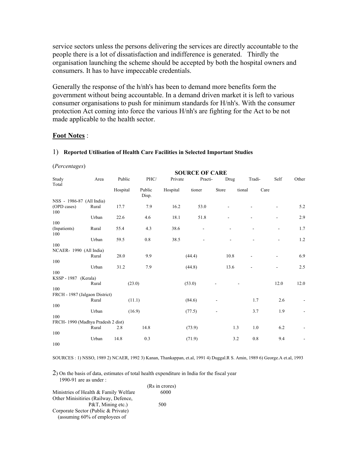service sectors unless the persons delivering the services are directly accountable to the people there is a lot of dissatisfaction and indifference is generated. Thirdly the organisation launching the scheme should be accepted by both the hospital owners and consumers. It has to have impeccable credentials.

Generally the response of the h/nh's has been to demand more benefits form the government without being accountable. In a demand driven market it is left to various consumer organisations to push for minimum standards for H/nh's. With the consumer protection Act coming into force the various H/nh's are fighting for the Act to be not made applicable to the health sector.

### **Foot Notes** :

### 1) **Reported Utilisation of Health Care Facilities in Selected Important Studies**

#### (*Percentages*)

|                                   |       | <b>SOURCE OF CARE</b> |                 |          |                          |       |                          |                          |         |  |  |
|-----------------------------------|-------|-----------------------|-----------------|----------|--------------------------|-------|--------------------------|--------------------------|---------|--|--|
| Study                             | Area  | Public                | PHC/            | Private  | Practi-                  | Drug  | Tradi-                   | Self                     | Other   |  |  |
| Total                             |       | Hospital              | Public<br>Disp. | Hospital | tioner                   | Store | tional                   | Care                     |         |  |  |
| NSS - 1986-87 (All India)         |       |                       |                 |          |                          |       |                          |                          |         |  |  |
| (OPD cases)<br>100                | Rural | 17.7                  | 7.9             | 16.2     | 53.0                     |       |                          |                          | 5.2     |  |  |
|                                   | Urban | 22.6                  | 4.6             | 18.1     | 51.8                     | ۰     |                          | ٠                        | 2.9     |  |  |
| 100                               |       |                       |                 |          |                          |       |                          |                          |         |  |  |
| (Inpatients)<br>100               | Rural | 55.4                  | 4.3             | 38.6     | $\overline{\phantom{0}}$ |       |                          | L,                       | 1.7     |  |  |
|                                   | Urban | 59.5                  | $0.8\,$         | 38.5     |                          |       |                          | $\overline{\phantom{a}}$ | $1.2\,$ |  |  |
| 100                               |       |                       |                 |          |                          |       |                          |                          |         |  |  |
| NCAER-1990 (All India)            |       |                       |                 |          |                          |       |                          |                          |         |  |  |
|                                   | Rural | 28.0                  | 9.9             |          | (44.4)                   | 10.8  | -                        | ۰                        | 6.9     |  |  |
| 100                               |       |                       |                 |          |                          |       |                          |                          |         |  |  |
|                                   | Urban | 31.2                  | 7.9             |          | (44.8)                   | 13.6  | $\overline{\phantom{a}}$ |                          | 2.5     |  |  |
| 100                               |       |                       |                 |          |                          |       |                          |                          |         |  |  |
| KSSP - 1987 (Kerala)              |       |                       |                 |          |                          |       |                          |                          |         |  |  |
| 100                               | Rural | (23.0)                |                 |          | (53.0)                   |       |                          | 12.0                     | 12.0    |  |  |
| FRCH - 1987 (Jalgaon District)    |       |                       |                 |          |                          |       |                          |                          |         |  |  |
|                                   | Rural |                       | (11.1)          |          | (84.6)                   |       | 1.7                      | 2.6                      |         |  |  |
| 100                               |       |                       |                 |          |                          |       |                          |                          |         |  |  |
|                                   | Urban |                       | (16.9)          |          | (77.5)                   |       | 3.7                      | 1.9                      |         |  |  |
| 100                               |       |                       |                 |          |                          |       |                          |                          |         |  |  |
| FRCH-1990 (Madhya Pradesh 2 dist) |       |                       |                 |          |                          |       |                          |                          |         |  |  |
|                                   | Rural | 2.8                   | 14.8            |          | (73.9)                   |       | 1.0<br>1.3               | 6.2                      |         |  |  |
| 100                               |       |                       |                 |          |                          |       |                          |                          |         |  |  |
|                                   | Urban | 14.8                  | 0.3             |          | (71.9)                   | 3.2   | 0.8                      | 9.4                      |         |  |  |
| 100                               |       |                       |                 |          |                          |       |                          |                          |         |  |  |

SOURCES : 1) NSSO, 1989 2) NCAER, 1992 3) Kanan, Thankappan, et.al, 1991 4) Duggal.R S. Amin, 1989 6) George.A et.al, 1993

2) On the basis of data, estimates of total health expenditure in India for the fiscal year 1990-91 are as under :

|                                       | (Rs in crores) |
|---------------------------------------|----------------|
| Ministries of Health & Family Welfare | 6000           |
| Other Minisitiries (Railway, Defence, |                |
| $P&T$ , Mining etc.)                  | 500            |
| Corporate Sector (Public & Private)   |                |
| (assuming 60% of employees of         |                |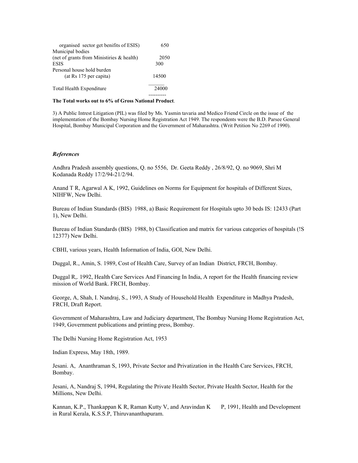| organised sector get benifits of ESIS)       | 650   |
|----------------------------------------------|-------|
| Municipal bodies                             |       |
| (net of grants from Ministiries $\&$ health) | 2050  |
| <b>ESIS</b>                                  | 300   |
| Personal house hold burden                   |       |
| (at Rs 175 per capita)                       | 14500 |
| Total Health Expenditure                     | 24000 |
|                                              |       |

#### **The Total works out to 6% of Gross National Product**.

3) A Public Intrest Litigation (PIL) was filed by Ms. Yasmin tavaria and Medico Friend Circle on the issue of the implementation of the Bombay Nursing Home Registration Act 1949. The respondents were the B.D. Parsee General Hospital, Bombay Municipal Corporation and the Government of Maharashtra. (Writ Petition No 2269 of 1990).

#### *References*

Andhra Pradesh assembly questions, Q. no 5556, Dr. Geeta Reddy , 26/8/92, Q. no 9069, Shri M Kodanada Reddy 17/2/94-21/2/94.

Anand T R, Agarwal A K, 1992, Guidelines on Norms for Equipment for hospitals of Different Sizes, NIHFW, New Delhi.

Bureau of Indian Standards (BIS) 1988, a) Basic Requirement for Hospitals upto 30 beds IS: 12433 (Part 1), New Delhi.

Bureau of Indian Standards (BIS) 1988, b) Classification and matrix for various categories of hospitals (!S 12377) New Delhi.

CBHI, various years, Health Information of India, GOI, New Delhi.

Duggal, R., Amin, S. 1989, Cost of Health Care, Survey of an Indian District, FRCH, Bombay.

Duggal R,. 1992, Health Care Services And Financing In India, A report for the Health financing review mission of World Bank. FRCH, Bombay.

George, A, Shah, I. Nandraj, S., 1993, A Study of Household Health Expenditure in Madhya Pradesh, FRCH, Draft Report.

Government of Maharashtra, Law and Judiciary department, The Bombay Nursing Home Registration Act, 1949, Government publications and printing press, Bombay.

The Delhi Nursing Home Registration Act, 1953

Indian Express, May 18th, 1989.

Jesani. A, Ananthraman S, 1993, Private Sector and Privatization in the Health Care Services, FRCH, Bombay.

Jesani, A, Nandraj S, 1994, Regulating the Private Health Sector, Private Health Sector, Health for the Millions, New Delhi.

Kannan, K.P., Thankappan K R, Raman Kutty V, and Aravindan K P, 1991, Health and Development in Rural Kerala, K.S.S.P, Thiruvananthapuram.